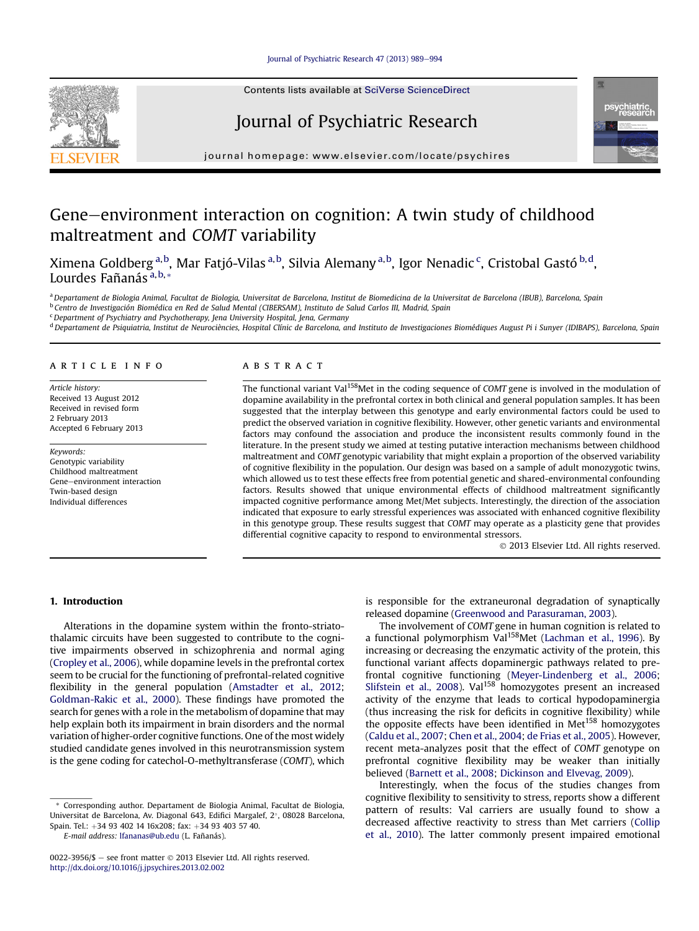Contents lists available at SciVerse ScienceDirect

# Journal of Psychiatric Research



 $j<sub>i</sub>$  is a homepage: where  $i<sub>i</sub>$  is a company company

# Gene–environment interaction on cognition: A twin study of childhood maltreatment and COMT variability

Ximena Goldberg <sup>a,b</sup>, Mar Fatjó-Vilas <sup>a,b</sup>, Silvia Alemany <sup>a,b</sup>, Igor Nenadic <sup>c</sup>, Cristobal Gastó <sup>b,d</sup>, Lourdes Fañanás $\frac{a}{a}$ , b, \*

<sup>a</sup> Departament de Biologia Animal, Facultat de Biologia, Universitat de Barcelona, Institut de Biomedicina de la Universitat de Barcelona (IBUB), Barcelona, Spain

<sup>b</sup> Centro de Investigación Biomédica en Red de Salud Mental (CIBERSAM), Instituto de Salud Carlos III, Madrid, Spain

 $c$ Department of Psychiatry and Psychotherapy, Jena University Hospital, Jena, Germany

<sup>d</sup> Departament de Psiquiatria, Institut de Neurociències, Hospital Clínic de Barcelona, and Instituto de Investigaciones Biomédiques August Pi i Sunyer (IDIBAPS), Barcelona, Spain

### article info

Article history: Received 13 August 2012 Received in revised form 2 February 2013 Accepted 6 February 2013

Keywords: Genotypic variability Childhood maltreatment Gene-environment interaction Twin-based design Individual differences

## **ABSTRACT**

The functional variant Val<sup>158</sup>Met in the coding sequence of COMT gene is involved in the modulation of dopamine availability in the prefrontal cortex in both clinical and general population samples. It has been suggested that the interplay between this genotype and early environmental factors could be used to predict the observed variation in cognitive flexibility. However, other genetic variants and environmental factors may confound the association and produce the inconsistent results commonly found in the literature. In the present study we aimed at testing putative interaction mechanisms between childhood maltreatment and COMT genotypic variability that might explain a proportion of the observed variability of cognitive flexibility in the population. Our design was based on a sample of adult monozygotic twins, which allowed us to test these effects free from potential genetic and shared-environmental confounding factors. Results showed that unique environmental effects of childhood maltreatment significantly impacted cognitive performance among Met/Met subjects. Interestingly, the direction of the association indicated that exposure to early stressful experiences was associated with enhanced cognitive flexibility in this genotype group. These results suggest that COMT may operate as a plasticity gene that provides differential cognitive capacity to respond to environmental stressors.

2013 Elsevier Ltd. All rights reserved.

#### 1. Introduction

Alterations in the dopamine system within the fronto-striatothalamic circuits have been suggested to contribute to the cognitive impairments observed in schizophrenia and normal aging (Cropley et al., 2006), while dopamine levels in the prefrontal cortex seem to be crucial for the functioning of prefrontal-related cognitive flexibility in the general population (Amstadter et al., 2012; Goldman-Rakic et al., 2000). These findings have promoted the search for genes with a role in the metabolism of dopamine that may help explain both its impairment in brain disorders and the normal variation of higher-order cognitive functions. One of the most widely studied candidate genes involved in this neurotransmission system is the gene coding for catechol-O-methyltransferase (COMT), which

Corresponding author. Departament de Biologia Animal, Facultat de Biologia, Universitat de Barcelona, Av. Diagonal 643, Edifici Margalef, 2°, 08028 Barcelona, Spain. Tel.: +34 93 402 14 16x208; fax: +34 93 403 57 40.

E-mail address: [lfananas@ub.edu](mailto:lfananas@ub.edu) (L. Fañanás).

is responsible for the extraneuronal degradation of synaptically released dopamine (Greenwood and Parasuraman, 2003).

The involvement of COMT gene in human cognition is related to a functional polymorphism Val<sup>158</sup>Met (Lachman et al., 1996). By increasing or decreasing the enzymatic activity of the protein, this functional variant affects dopaminergic pathways related to prefrontal cognitive functioning (Meyer-Lindenberg et al., 2006; Slifstein et al., 2008). Val<sup>158</sup> homozygotes present an increased activity of the enzyme that leads to cortical hypodopaminergia (thus increasing the risk for deficits in cognitive flexibility) while the opposite effects have been identified in Met<sup>158</sup> homozygotes (Caldu et al., 2007; Chen et al., 2004; de Frias et al., 2005). However, recent meta-analyzes posit that the effect of COMT genotype on prefrontal cognitive flexibility may be weaker than initially believed (Barnett et al., 2008; Dickinson and Elvevag, 2009).

Interestingly, when the focus of the studies changes from cognitive flexibility to sensitivity to stress, reports show a different pattern of results: Val carriers are usually found to show a decreased affective reactivity to stress than Met carriers (Collip et al., 2010). The latter commonly present impaired emotional



<sup>0022-3956/\$ -</sup> see front matter  $\odot$  2013 Elsevier Ltd. All rights reserved. <http://dx.doi.org/10.1016/j.jpsychires.2013.02.002>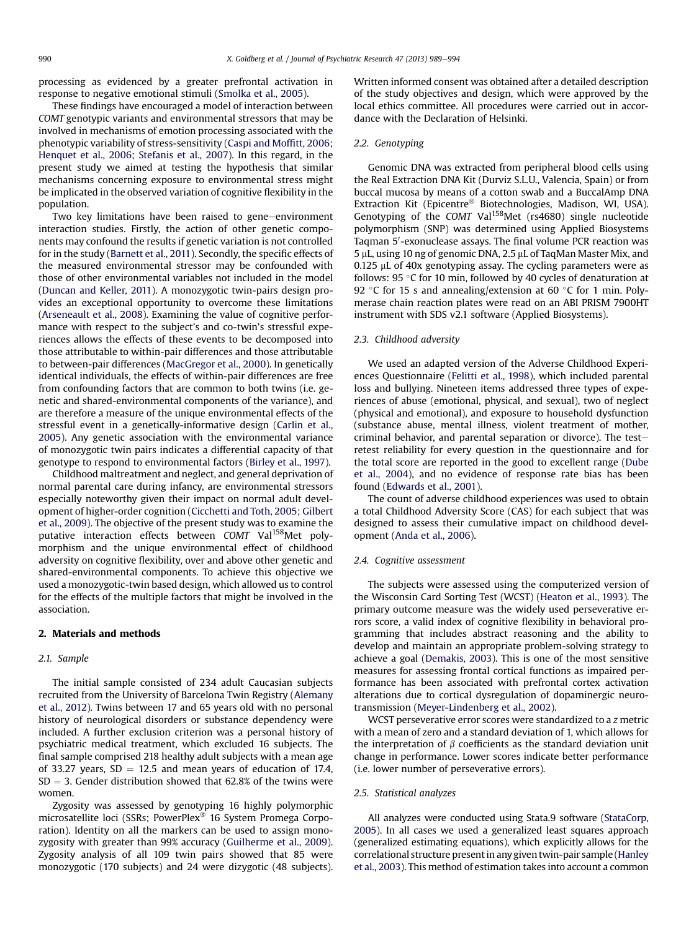processing as evidenced by a greater prefrontal activation in response to negative emotional stimuli (Smolka et al., 2005).

These findings have encouraged a model of interaction between COMT genotypic variants and environmental stressors that may be involved in mechanisms of emotion processing associated with the phenotypic variability of stress-sensitivity (Caspi and Moffitt, 2006; Henquet et al., 2006; Stefanis et al., 2007). In this regard, in the present study we aimed at testing the hypothesis that similar mechanisms concerning exposure to environmental stress might be implicated in the observed variation of cognitive flexibility in the population.

Two key limitations have been raised to gene-environment interaction studies. Firstly, the action of other genetic components may confound the results if genetic variation is not controlled for in the study (Barnett et al., 2011). Secondly, the specific effects of the measured environmental stressor may be confounded with those of other environmental variables not included in the model (Duncan and Keller, 2011). A monozygotic twin-pairs design provides an exceptional opportunity to overcome these limitations (Arseneault et al., 2008). Examining the value of cognitive performance with respect to the subject's and co-twin's stressful experiences allows the effects of these events to be decomposed into those attributable to within-pair differences and those attributable to between-pair differences (MacGregor et al., 2000). In genetically identical individuals, the effects of within-pair differences are free from confounding factors that are common to both twins (i.e. genetic and shared-environmental components of the variance), and are therefore a measure of the unique environmental effects of the stressful event in a genetically-informative design (Carlin et al., 2005). Any genetic association with the environmental variance of monozygotic twin pairs indicates a differential capacity of that genotype to respond to environmental factors (Birley et al., 1997).

Childhood maltreatment and neglect, and general deprivation of normal parental care during infancy, are environmental stressors especially noteworthy given their impact on normal adult development of higher-order cognition (Cicchetti and Toth, 2005; Gilbert et al., 2009). The objective of the present study was to examine the putative interaction effects between COMT Val<sup>158</sup>Met polymorphism and the unique environmental effect of childhood adversity on cognitive flexibility, over and above other genetic and shared-environmental components. To achieve this objective we used a monozygotic-twin based design, which allowed us to control for the effects of the multiple factors that might be involved in the association.

## 2. Materials and methods

#### 2.1. Sample

The initial sample consisted of 234 adult Caucasian subjects recruited from the University of Barcelona Twin Registry (Alemany et al., 2012). Twins between 17 and 65 years old with no personal history of neurological disorders or substance dependency were included. A further exclusion criterion was a personal history of psychiatric medical treatment, which excluded 16 subjects. The final sample comprised 218 healthy adult subjects with a mean age of 33.27 years,  $SD = 12.5$  and mean years of education of 17.4,  $SD = 3$ . Gender distribution showed that 62.8% of the twins were women.

Zygosity was assessed by genotyping 16 highly polymorphic microsatellite loci (SSRs; PowerPlex<sup>®</sup> 16 System Promega Corporation). Identity on all the markers can be used to assign monozygosity with greater than 99% accuracy (Guilherme et al., 2009). Zygosity analysis of all 109 twin pairs showed that 85 were monozygotic (170 subjects) and 24 were dizygotic (48 subjects). Written informed consent was obtained after a detailed description of the study objectives and design, which were approved by the local ethics committee. All procedures were carried out in accordance with the Declaration of Helsinki.

### 2.2. Genotyping

Genomic DNA was extracted from peripheral blood cells using the Real Extraction DNA Kit (Durviz S.L.U., Valencia, Spain) or from buccal mucosa by means of a cotton swab and a BuccalAmp DNA Extraction Kit (Epicentre<sup>®</sup> Biotechnologies, Madison, WI, USA). Genotyping of the COMT Val<sup>158</sup>Met (rs4680) single nucleotide polymorphism (SNP) was determined using Applied Biosystems Taqman 5'-exonuclease assays. The final volume PCR reaction was 5 µL, using 10 ng of genomic DNA, 2.5 µL of TaqMan Master Mix, and 0.125 µL of 40x genotyping assay. The cycling parameters were as follows: 95  $\degree$ C for 10 min, followed by 40 cycles of denaturation at 92 °C for 15 s and annealing/extension at 60 °C for 1 min. Polymerase chain reaction plates were read on an ABI PRISM 7900HT instrument with SDS v2.1 software (Applied Biosystems).

#### 2.3. Childhood adversity

We used an adapted version of the Adverse Childhood Experiences Questionnaire (Felitti et al., 1998), which included parental loss and bullying. Nineteen items addressed three types of experiences of abuse (emotional, physical, and sexual), two of neglect (physical and emotional), and exposure to household dysfunction (substance abuse, mental illness, violent treatment of mother, criminal behavior, and parental separation or divorce). The testretest reliability for every question in the questionnaire and for the total score are reported in the good to excellent range (Dube et al., 2004), and no evidence of response rate bias has been found (Edwards et al., 2001).

The count of adverse childhood experiences was used to obtain a total Childhood Adversity Score (CAS) for each subject that was designed to assess their cumulative impact on childhood development (Anda et al., 2006).

#### 2.4. Cognitive assessment

The subjects were assessed using the computerized version of the Wisconsin Card Sorting Test (WCST) (Heaton et al., 1993). The primary outcome measure was the widely used perseverative errors score, a valid index of cognitive flexibility in behavioral programming that includes abstract reasoning and the ability to develop and maintain an appropriate problem-solving strategy to achieve a goal (Demakis, 2003). This is one of the most sensitive measures for assessing frontal cortical functions as impaired performance has been associated with prefrontal cortex activation alterations due to cortical dysregulation of dopaminergic neurotransmission (Meyer-Lindenberg et al., 2002).

WCST perseverative error scores were standardized to a z metric with a mean of zero and a standard deviation of 1, which allows for the interpretation of  $\beta$  coefficients as the standard deviation unit change in performance. Lower scores indicate better performance (i.e. lower number of perseverative errors).

#### 2.5. Statistical analyzes

All analyzes were conducted using Stata.9 software (StataCorp, 2005). In all cases we used a generalized least squares approach (generalized estimating equations), which explicitly allows for the correlational structure present in any given twin-pair sample (Hanley et al., 2003). This method of estimation takes into account a common